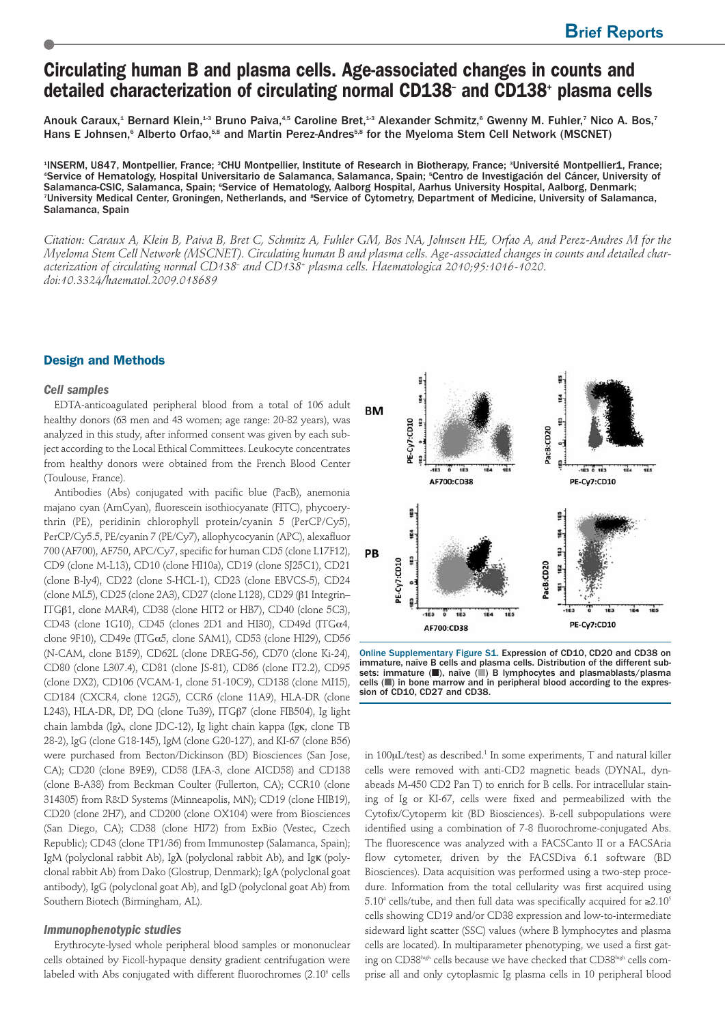# **Circulating human B and plasma cells. Age-associated changes in counts and detailed characterization of circulating normal CD138– and CD138+ plasma cells**

Anouk Caraux,<sup>1</sup> Bernard Klein,<sup>13</sup> Bruno Paiva,<sup>4,5</sup> Caroline Bret,<sup>13</sup> Alexander Schmitz,<sup>6</sup> Gwenny M. Fuhler,<sup>7</sup> Nico A. Bos,<sup>7</sup> Hans E Johnsen,<sup>6</sup> Alberto Orfao,<sup>5,8</sup> and Martin Perez-Andres<sup>5,8</sup> for the Myeloma Stem Cell Network (MSCNET)

1 INSERM, U847, Montpellier, France; 2 CHU Montpellier, Institute of Research in Biotherapy, France; 3 Université Montpellier1, France; 4 Service of Hematology, Hospital Universitario de Salamanca, Salamanca, Spain; 5 Centro de Investigación del Cáncer, University of Salamanca-CSIC, Salamanca, Spain; °Service of Hematology, Aalborg Hospital, Aarhus University Hospital, Aalborg, Denmark; <sup>7</sup>University Medical Center, Groningen, Netherlands, and <sup>8</sup>Service of Cytometry, Department of Medicine, University of Salamanca, Salamanca, Spain

*Citation: Caraux A, Klein B, Paiva B, Bret C, Schmitz A, Fuhler GM, Bos NA, Johnsen HE, Orfao A, and Perez-Andres M for the Myeloma Stem Cell Network (MSCNET). Circulating human B and plasma cells. Age-associated changes in counts and detailed characterization of circulating normal CD138– and CD138+ plasma cells. Haematologica 2010;95:1016-1020. doi:10.3324/haematol.2009.018689*

## **Design and Methods**

### *Cell samples*

EDTA-anticoagulated peripheral blood from a total of 106 adult healthy donors (63 men and 43 women; age range: 20-82 years), was analyzed in this study, after informed consent was given by each subject according to the Local Ethical Committees. Leukocyte concentrates from healthy donors were obtained from the French Blood Center (Toulouse, France).

Antibodies (Abs) conjugated with pacific blue (PacB), anemonia majano cyan (AmCyan), fluorescein isothiocyanate (FITC), phycoerythrin (PE), peridinin chlorophyll protein/cyanin 5 (PerCP/Cy5), PerCP/Cy5.5, PE/cyanin 7 (PE/Cy7), allophycocyanin (APC), alexafluor 700 (AF700), AF750, APC/Cy7, specific for human CD5 (clone L17F12), CD9 (clone M-L13), CD10 (clone HI10a), CD19 (clone SJ25C1), CD21 (clone B-ly4), CD22 (clone S-HCL-1), CD23 (clone EBVCS-5), CD24 (clone ML5), CD25 (clone 2A3), CD27 (clone L128), CD29 (β1 Integrin– ITGβ1, clone MAR4), CD38 (clone HIT2 or HB7), CD40 (clone 5C3), CD43 (clone 1G10), CD45 (clones 2D1 and HI30), CD49d (ITG $\alpha$ 4, clone 9F10), CD49e (ITG $\alpha$ 5, clone SAM1), CD53 (clone HI29), CD56 (N-CAM, clone B159), CD62L (clone DREG-56), CD70 (clone Ki-24), CD80 (clone L307.4), CD81 (clone JS-81), CD86 (clone IT2.2), CD95 (clone DX2), CD106 (VCAM-1, clone 51-10C9), CD138 (clone MI15), CD184 (CXCR4, clone 12G5), CCR6 (clone 11A9), HLA-DR (clone L243), HLA-DR, DP, DQ (clone Tu39), ITGβ7 (clone FIB504), Ig light chain lambda (Igλ, clone JDC-12), Ig light chain kappa (Igκ, clone TB 28-2), IgG (clone G18-145), IgM (clone G20-127), and KI-67 (clone B56) were purchased from Becton/Dickinson (BD) Biosciences (San Jose, CA); CD20 (clone B9E9), CD58 (LFA-3, clone AICD58) and CD138 (clone B-A38) from Beckman Coulter (Fullerton, CA); CCR10 (clone 314305) from R&D Systems (Minneapolis, MN); CD19 (clone HIB19), CD20 (clone 2H7), and CD200 (clone OX104) were from Biosciences (San Diego, CA); CD38 (clone HI72) from ExBio (Vestec, Czech Republic); CD43 (clone TP1/36) from Immunostep (Salamanca, Spain); IgM (polyclonal rabbit Ab), Igλ (polyclonal rabbit Ab), and Igκ (polyclonal rabbit Ab) from Dako (Glostrup, Denmark); IgA (polyclonal goat antibody), IgG (polyclonal goat Ab), and IgD (polyclonal goat Ab) from Southern Biotech (Birmingham, AL).

#### *Immunophenotypic studies*

Erythrocyte-lysed whole peripheral blood samples or mononuclear cells obtained by Ficoll-hypaque density gradient centrifugation were labeled with Abs conjugated with different fluorochromes (2.10<sup>6</sup> cells



Online Supplementary Figure S1. Expression of CD10, CD20 and CD38 on immature, naïve B cells and plasma cells. Distribution of the different sub-<br>sets: immature (■), naïve (■) B lymphocytes and plasmablasts/plasma cells (a) in bone marrow and in peripheral blood according to the expression of CD10, CD27 and CD38.

in  $100 \mu L/$ test) as described.<sup>1</sup> In some experiments, T and natural killer cells were removed with anti-CD2 magnetic beads (DYNAL, dynabeads M-450 CD2 Pan T) to enrich for B cells. For intracellular staining of Ig or KI-67, cells were fixed and permeabilized with the Cytofix/Cytoperm kit (BD Biosciences). B-cell subpopulations were identified using a combination of 7-8 fluorochrome-conjugated Abs. The fluorescence was analyzed with a FACSCanto II or a FACSAria flow cytometer, driven by the FACSDiva 6.1 software (BD Biosciences). Data acquisition was performed using a two-step procedure. Information from the total cellularity was first acquired using 5.10<sup>4</sup> cells/tube, and then full data was specifically acquired for  $\geq 2.10^5$ cells showing CD19 and/or CD38 expression and low-to-intermediate sideward light scatter (SSC) values (where B lymphocytes and plasma cells are located). In multiparameter phenotyping, we used a first gating on CD38high cells because we have checked that CD38high cells comprise all and only cytoplasmic Ig plasma cells in 10 peripheral blood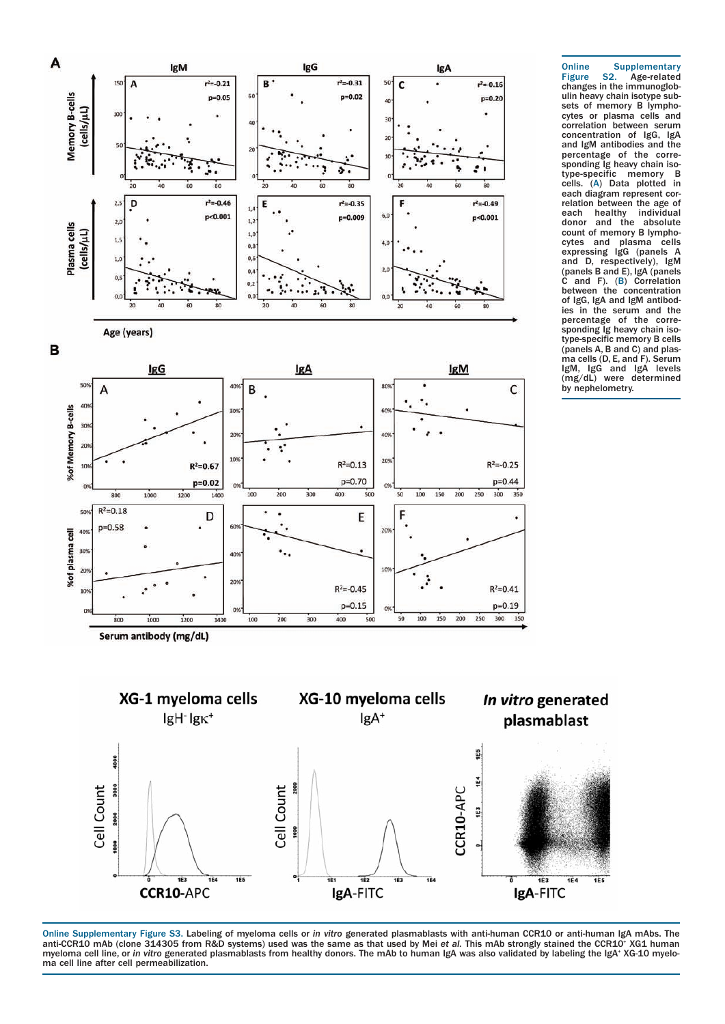



Online Supplementary Figure S2. Age-related changes in the immunoglobulin heavy chain isotype subsets of memory B lymphocytes or plasma cells and correlation between serum concentration of IgG, IgA and IgM antibodies and the percentage of the corresponding Ig heavy chain isotype-specific memory B cells. (A) Data plotted in each diagram represent correlation between the age of each healthy individual<br>donor and the absolute and the count of memory B lymphocytes and plasma cells expressing IgG (panels A and D, respectively), IgM (panels B and E), IgA (panels C and F). (B) Correlation between the concentration of IgG, IgA and IgM antibodies in the serum and the percentage of the corresponding Ig heavy chain isotype-specific memory B cells (panels A, B and C) and plasma cells (D, E, and F). Serum IgM, IgG and IgA levels (mg/dL) were determined by nephelometry.



Online Supplementary Figure S3. Labeling of myeloma cells or *in vitro* generated plasmablasts with anti-human CCR10 or anti-human IgA mAbs. The anti-CCR10 mAb (clone 314305 from R&D systems) used was the same as that used by Mei e*t al.* This mAb strongly stained the CCR10\* XG1 human<br>myeloma cell line, or *in vitro* generated plasmablasts from healthy donors. The ma cell line after cell permeabilization.